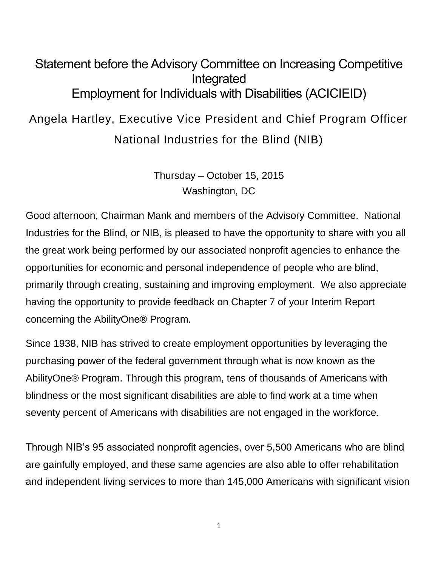## Statement before the Advisory Committee on Increasing Competitive Integrated Employment for Individuals with Disabilities (ACICIEID)

## Angela Hartley, Executive Vice President and Chief Program Officer

National Industries for the Blind (NIB)

Thursday – October 15, 2015 Washington, DC

Good afternoon, Chairman Mank and members of the Advisory Committee. National Industries for the Blind, or NIB, is pleased to have the opportunity to share with you all the great work being performed by our associated nonprofit agencies to enhance the opportunities for economic and personal independence of people who are blind, primarily through creating, sustaining and improving employment. We also appreciate having the opportunity to provide feedback on Chapter 7 of your Interim Report concerning the AbilityOne® Program.

Since 1938, NIB has strived to create employment opportunities by leveraging the purchasing power of the federal government through what is now known as the AbilityOne® Program. Through this program, tens of thousands of Americans with blindness or the most significant disabilities are able to find work at a time when seventy percent of Americans with disabilities are not engaged in the workforce.

Through NIB's 95 associated nonprofit agencies, over 5,500 Americans who are blind are gainfully employed, and these same agencies are also able to offer rehabilitation and independent living services to more than 145,000 Americans with significant vision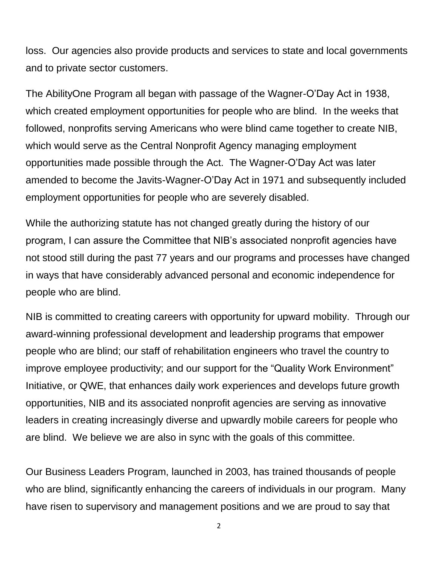loss. Our agencies also provide products and services to state and local governments and to private sector customers.

The AbilityOne Program all began with passage of the Wagner-O'Day Act in 1938, which created employment opportunities for people who are blind. In the weeks that followed, nonprofits serving Americans who were blind came together to create NIB, which would serve as the Central Nonprofit Agency managing employment opportunities made possible through the Act. The Wagner-O'Day Act was later amended to become the Javits-Wagner-O'Day Act in 1971 and subsequently included employment opportunities for people who are severely disabled.

While the authorizing statute has not changed greatly during the history of our program, I can assure the Committee that NIB's associated nonprofit agencies have not stood still during the past 77 years and our programs and processes have changed in ways that have considerably advanced personal and economic independence for people who are blind.

NIB is committed to creating careers with opportunity for upward mobility. Through our award-winning professional development and leadership programs that empower people who are blind; our staff of rehabilitation engineers who travel the country to improve employee productivity; and our support for the "Quality Work Environment" Initiative, or QWE, that enhances daily work experiences and develops future growth opportunities, NIB and its associated nonprofit agencies are serving as innovative leaders in creating increasingly diverse and upwardly mobile careers for people who are blind. We believe we are also in sync with the goals of this committee.

Our Business Leaders Program, launched in 2003, has trained thousands of people who are blind, significantly enhancing the careers of individuals in our program. Many have risen to supervisory and management positions and we are proud to say that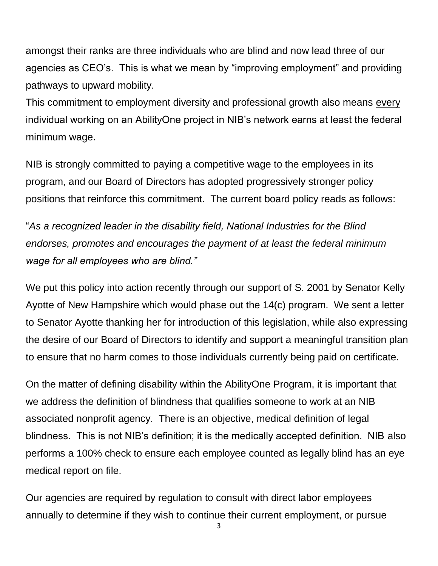amongst their ranks are three individuals who are blind and now lead three of our agencies as CEO's. This is what we mean by "improving employment" and providing pathways to upward mobility.

This commitment to employment diversity and professional growth also means every individual working on an AbilityOne project in NIB's network earns at least the federal minimum wage.

NIB is strongly committed to paying a competitive wage to the employees in its program, and our Board of Directors has adopted progressively stronger policy positions that reinforce this commitment. The current board policy reads as follows:

"*As a recognized leader in the disability field, National Industries for the Blind endorses, promotes and encourages the payment of at least the federal minimum wage for all employees who are blind."*

We put this policy into action recently through our support of S. 2001 by Senator Kelly Ayotte of New Hampshire which would phase out the 14(c) program. We sent a letter to Senator Ayotte thanking her for introduction of this legislation, while also expressing the desire of our Board of Directors to identify and support a meaningful transition plan to ensure that no harm comes to those individuals currently being paid on certificate.

On the matter of defining disability within the AbilityOne Program, it is important that we address the definition of blindness that qualifies someone to work at an NIB associated nonprofit agency. There is an objective, medical definition of legal blindness. This is not NIB's definition; it is the medically accepted definition. NIB also performs a 100% check to ensure each employee counted as legally blind has an eye medical report on file.

Our agencies are required by regulation to consult with direct labor employees annually to determine if they wish to continue their current employment, or pursue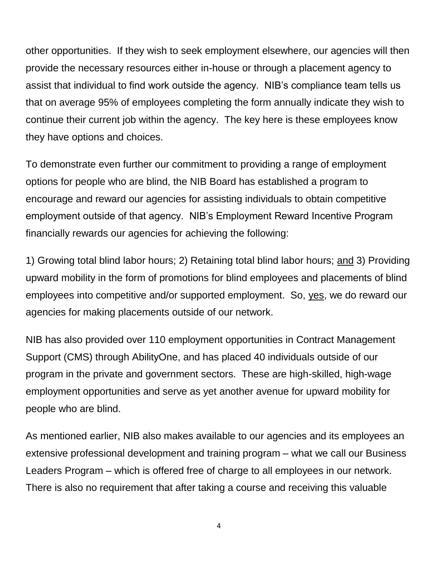other opportunities. If they wish to seek employment elsewhere, our agencies will then provide the necessary resources either in-house or through a placement agency to assist that individual to find work outside the agency. NIB's compliance team tells us that on average 95% of employees completing the form annually indicate they wish to continue their current job within the agency. The key here is these employees know they have options and choices.

To demonstrate even further our commitment to providing a range of employment options for people who are blind, the NIB Board has established a program to encourage and reward our agencies for assisting individuals to obtain competitive employment outside of that agency. NIB's Employment Reward Incentive Program financially rewards our agencies for achieving the following:

1) Growing total blind labor hours; 2) Retaining total blind labor hours; and 3) Providing upward mobility in the form of promotions for blind employees and placements of blind employees into competitive and/or supported employment. So, yes, we do reward our agencies for making placements outside of our network.

NIB has also provided over 110 employment opportunities in Contract Management Support (CMS) through AbilityOne, and has placed 40 individuals outside of our program in the private and government sectors. These are high-skilled, high-wage employment opportunities and serve as yet another avenue for upward mobility for people who are blind.

As mentioned earlier, NIB also makes available to our agencies and its employees an extensive professional development and training program – what we call our Business Leaders Program – which is offered free of charge to all employees in our network. There is also no requirement that after taking a course and receiving this valuable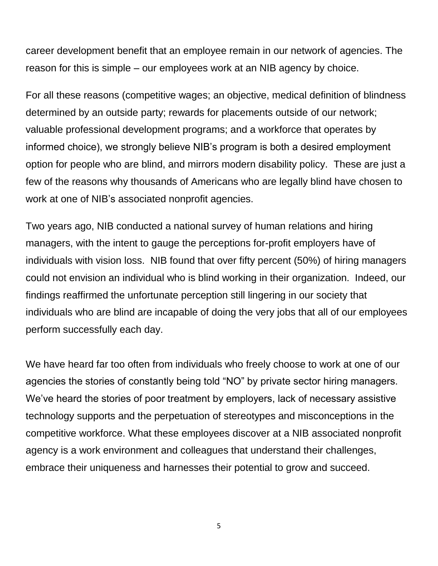career development benefit that an employee remain in our network of agencies. The reason for this is simple – our employees work at an NIB agency by choice.

For all these reasons (competitive wages; an objective, medical definition of blindness determined by an outside party; rewards for placements outside of our network; valuable professional development programs; and a workforce that operates by informed choice), we strongly believe NIB's program is both a desired employment option for people who are blind, and mirrors modern disability policy. These are just a few of the reasons why thousands of Americans who are legally blind have chosen to work at one of NIB's associated nonprofit agencies.

Two years ago, NIB conducted a national survey of human relations and hiring managers, with the intent to gauge the perceptions for-profit employers have of individuals with vision loss. NIB found that over fifty percent (50%) of hiring managers could not envision an individual who is blind working in their organization. Indeed, our findings reaffirmed the unfortunate perception still lingering in our society that individuals who are blind are incapable of doing the very jobs that all of our employees perform successfully each day.

We have heard far too often from individuals who freely choose to work at one of our agencies the stories of constantly being told "NO" by private sector hiring managers. We've heard the stories of poor treatment by employers, lack of necessary assistive technology supports and the perpetuation of stereotypes and misconceptions in the competitive workforce. What these employees discover at a NIB associated nonprofit agency is a work environment and colleagues that understand their challenges, embrace their uniqueness and harnesses their potential to grow and succeed.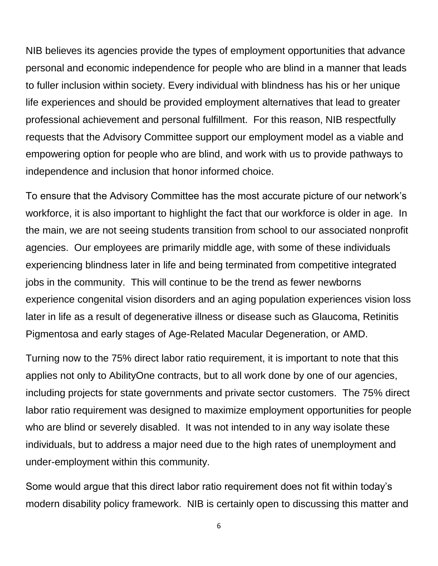NIB believes its agencies provide the types of employment opportunities that advance personal and economic independence for people who are blind in a manner that leads to fuller inclusion within society. Every individual with blindness has his or her unique life experiences and should be provided employment alternatives that lead to greater professional achievement and personal fulfillment. For this reason, NIB respectfully requests that the Advisory Committee support our employment model as a viable and empowering option for people who are blind, and work with us to provide pathways to independence and inclusion that honor informed choice.

To ensure that the Advisory Committee has the most accurate picture of our network's workforce, it is also important to highlight the fact that our workforce is older in age. In the main, we are not seeing students transition from school to our associated nonprofit agencies. Our employees are primarily middle age, with some of these individuals experiencing blindness later in life and being terminated from competitive integrated jobs in the community. This will continue to be the trend as fewer newborns experience congenital vision disorders and an aging population experiences vision loss later in life as a result of degenerative illness or disease such as Glaucoma, Retinitis Pigmentosa and early stages of Age-Related Macular Degeneration, or AMD.

Turning now to the 75% direct labor ratio requirement, it is important to note that this applies not only to AbilityOne contracts, but to all work done by one of our agencies, including projects for state governments and private sector customers. The 75% direct labor ratio requirement was designed to maximize employment opportunities for people who are blind or severely disabled. It was not intended to in any way isolate these individuals, but to address a major need due to the high rates of unemployment and under-employment within this community.

Some would argue that this direct labor ratio requirement does not fit within today's modern disability policy framework. NIB is certainly open to discussing this matter and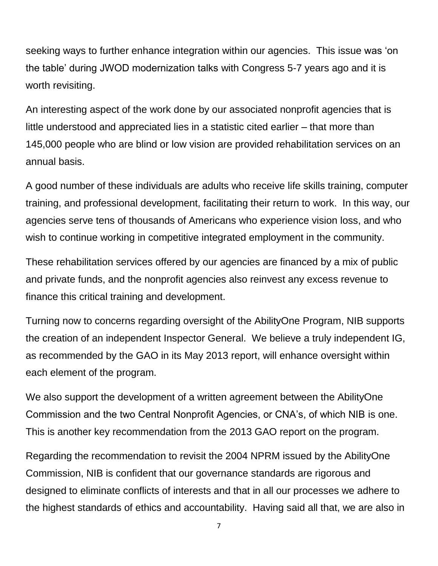seeking ways to further enhance integration within our agencies. This issue was 'on the table' during JWOD modernization talks with Congress 5-7 years ago and it is worth revisiting.

An interesting aspect of the work done by our associated nonprofit agencies that is little understood and appreciated lies in a statistic cited earlier – that more than 145,000 people who are blind or low vision are provided rehabilitation services on an annual basis.

A good number of these individuals are adults who receive life skills training, computer training, and professional development, facilitating their return to work. In this way, our agencies serve tens of thousands of Americans who experience vision loss, and who wish to continue working in competitive integrated employment in the community.

These rehabilitation services offered by our agencies are financed by a mix of public and private funds, and the nonprofit agencies also reinvest any excess revenue to finance this critical training and development.

Turning now to concerns regarding oversight of the AbilityOne Program, NIB supports the creation of an independent Inspector General. We believe a truly independent IG, as recommended by the GAO in its May 2013 report, will enhance oversight within each element of the program.

We also support the development of a written agreement between the AbilityOne Commission and the two Central Nonprofit Agencies, or CNA's, of which NIB is one. This is another key recommendation from the 2013 GAO report on the program.

Regarding the recommendation to revisit the 2004 NPRM issued by the AbilityOne Commission, NIB is confident that our governance standards are rigorous and designed to eliminate conflicts of interests and that in all our processes we adhere to the highest standards of ethics and accountability. Having said all that, we are also in